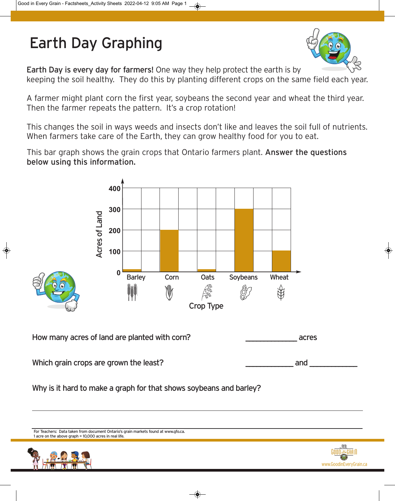## Earth Day Graphing



Earth Day is every day for farmers! One way they help protect the earth is by

keeping the soil healthy. They do this by planting different crops on the same field each year.

A farmer might plant corn the first year, soybeans the second year and wheat the third year. Then the farmer repeats the pattern. It's a crop rotation!

This changes the soil in ways weeds and insects don't like and leaves the soil full of nutrients. When farmers take care of the Earth, they can grow healthy food for you to eat.

This bar graph shows the grain crops that Ontario farmers plant. Answer the questions below using this information.



Why is it hard to make a graph for that shows soybeans and barley?

For Teachers: Data taken from document Ontario's grain markets found at www.gfo.ca. 1 acre on the above graph = 10,000 acres in real life.



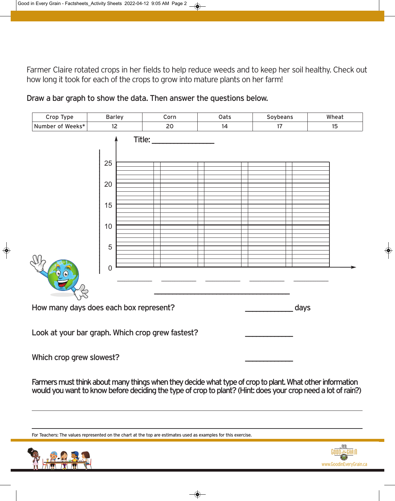Farmer Claire rotated crops in her fields to help reduce weeds and to keep her soil healthy. Check out how long it took for each of the crops to grow into mature plants on her farm!



Draw a bar graph to show the data. Then answer the questions below.

Which crop grew slowest?

Farmers must think about many things when they decide what type of crop to plant. What other information would you want to know before deciding the type of crop to plant? (Hint: does your crop need a lot of rain?)

For Teachers: The values represented on the chart at the top are estimates used as examples for this exercise.